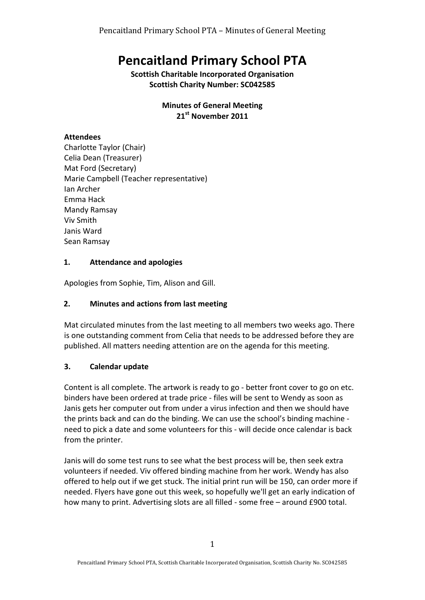# **Pencaitland Primary School PTA**

**Scottish Charitable Incorporated Organisation Scottish Charity Number: SC042585** 

> **Minutes of General Meeting** 21st November 2011

# **Attendees**

Charlotte Taylor (Chair) Celia Dean (Treasurer) Mat Ford (Secretary) Marie Campbell (Teacher representative) Ian Archer Emma Hack Mandy Ramsay Viv Smith Janis Ward Sean Ramsay

# **1. Attendance and apologies**

Apologies from Sophie, Tim, Alison and Gill.

# **2.** Minutes and actions from last meeting

Mat circulated minutes from the last meeting to all members two weeks ago. There is one outstanding comment from Celia that needs to be addressed before they are published. All matters needing attention are on the agenda for this meeting.

# **3. Calendar update**

Content is all complete. The artwork is ready to go - better front cover to go on etc. binders have been ordered at trade price - files will be sent to Wendy as soon as Janis gets her computer out from under a virus infection and then we should have the prints back and can do the binding. We can use the school's binding machine need to pick a date and some volunteers for this - will decide once calendar is back from the printer.

Janis will do some test runs to see what the best process will be, then seek extra volunteers if needed. Viv offered binding machine from her work. Wendy has also offered to help out if we get stuck. The initial print run will be 150, can order more if needed. Flyers have gone out this week, so hopefully we'll get an early indication of how many to print. Advertising slots are all filled - some free - around £900 total.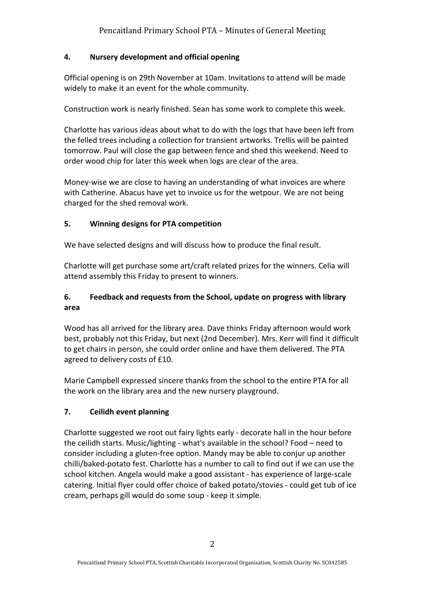#### **4. Nursery development and official opening**

Official opening is on 29th November at 10am. Invitations to attend will be made widely to make it an event for the whole community.

Construction work is nearly finished. Sean has some work to complete this week.

Charlotte has various ideas about what to do with the logs that have been left from the felled trees including a collection for transient artworks. Trellis will be painted tomorrow. Paul will close the gap between fence and shed this weekend. Need to order wood chip for later this week when logs are clear of the area.

Money-wise we are close to having an understanding of what invoices are where with Catherine. Abacus have yet to invoice us for the wetpour. We are not being charged for the shed removal work.

#### **5. Winning designs for PTA competition**

We have selected designs and will discuss how to produce the final result.

Charlotte will get purchase some art/craft related prizes for the winners. Celia will attend assembly this Friday to present to winners.

# **6. Feedback and requests from the School, update on progress with library area**

Wood has all arrived for the library area. Dave thinks Friday afternoon would work best, probably not this Friday, but next (2nd December). Mrs. Kerr will find it difficult to get chairs in person, she could order online and have them delivered. The PTA agreed to delivery costs of £10.

Marie Campbell expressed sincere thanks from the school to the entire PTA for all the work on the library area and the new nursery playground.

# **7. Ceilidh event planning**

Charlotte suggested we root out fairy lights early - decorate hall in the hour before the ceilidh starts. Music/lighting - what's available in the school? Food  $-$  need to consider including a gluten-free option. Mandy may be able to conjur up another chilli/baked-potato fest. Charlotte has a number to call to find out if we can use the school kitchen. Angela would make a good assistant - has experience of large-scale catering. Initial flyer could offer choice of baked potato/stovies - could get tub of ice cream, perhaps gill would do some soup - keep it simple.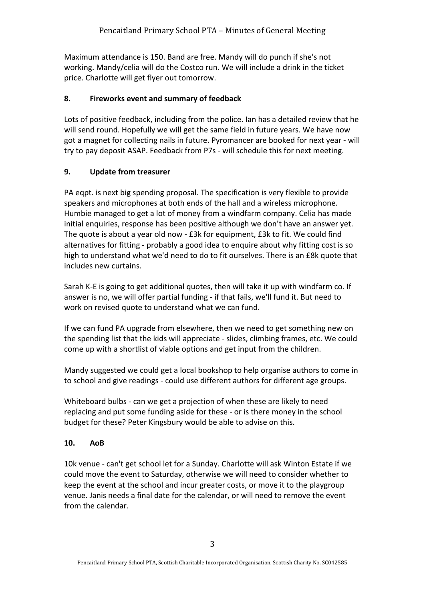Maximum attendance is 150. Band are free. Mandy will do punch if she's not working. Mandy/celia will do the Costco run. We will include a drink in the ticket price. Charlotte will get flyer out tomorrow.

#### **8. Fireworks event and summary of feedback**

Lots of positive feedback, including from the police. Ian has a detailed review that he will send round. Hopefully we will get the same field in future years. We have now got a magnet for collecting nails in future. Pyromancer are booked for next year - will try to pay deposit ASAP. Feedback from P7s - will schedule this for next meeting.

#### **9.** Update from treasurer

PA eqpt. is next big spending proposal. The specification is very flexible to provide speakers and microphones at both ends of the hall and a wireless microphone. Humbie managed to get a lot of money from a windfarm company. Celia has made initial enquiries, response has been positive although we don't have an answer yet. The quote is about a year old now -  $E3k$  for equipment,  $E3k$  to fit. We could find alternatives for fitting - probably a good idea to enquire about why fitting cost is so high to understand what we'd need to do to fit ourselves. There is an £8k quote that includes new curtains.

Sarah K-E is going to get additional quotes, then will take it up with windfarm co. If answer is no, we will offer partial funding - if that fails, we'll fund it. But need to work on revised quote to understand what we can fund.

If we can fund PA upgrade from elsewhere, then we need to get something new on the spending list that the kids will appreciate - slides, climbing frames, etc. We could come up with a shortlist of viable options and get input from the children.

Mandy suggested we could get a local bookshop to help organise authors to come in to school and give readings - could use different authors for different age groups.

Whiteboard bulbs - can we get a projection of when these are likely to need replacing and put some funding aside for these - or is there money in the school budget for these? Peter Kingsbury would be able to advise on this.

#### **10. AoB**

10k venue - can't get school let for a Sunday. Charlotte will ask Winton Estate if we could move the event to Saturday, otherwise we will need to consider whether to keep the event at the school and incur greater costs, or move it to the playgroup venue. Janis needs a final date for the calendar, or will need to remove the event from the calendar.